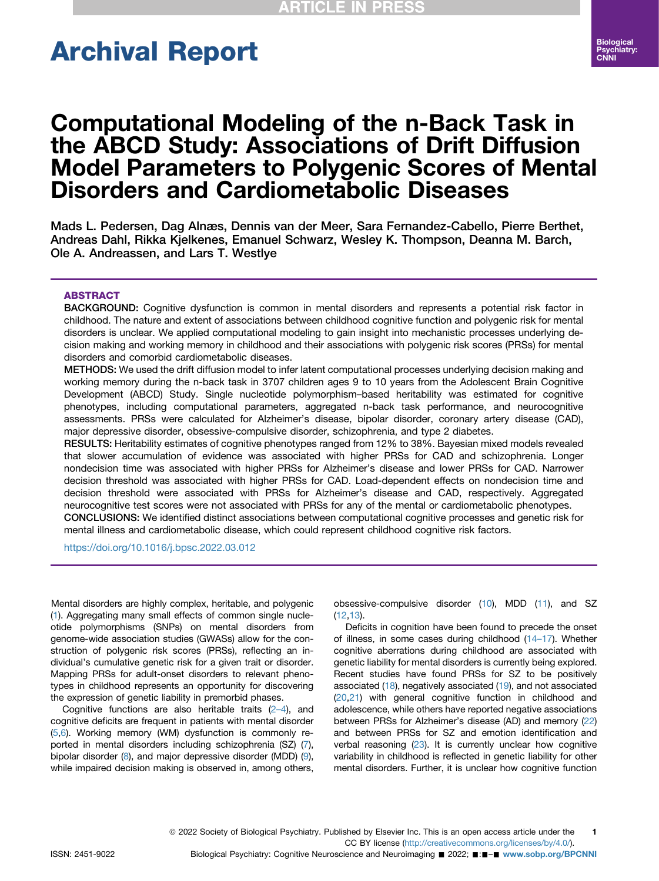# Archival Report

# Computational Modeling of the n-Back Task in the ABCD Study: Associations of Drift Diffusion Model Parameters to Polygenic Scores of Mental Disorders and Cardiometabolic Diseases

Mads L. Pedersen, Dag Alnæs, Dennis van der Meer, Sara Fernandez-Cabello, Pierre Berthet, Andreas Dahl, Rikka Kjelkenes, Emanuel Schwarz, Wesley K. Thompson, Deanna M. Barch, Ole A. Andreassen, and Lars T. Westlye

#### ABSTRACT

BACKGROUND: Cognitive dysfunction is common in mental disorders and represents a potential risk factor in childhood. The nature and extent of associations between childhood cognitive function and polygenic risk for mental disorders is unclear. We applied computational modeling to gain insight into mechanistic processes underlying decision making and working memory in childhood and their associations with polygenic risk scores (PRSs) for mental disorders and comorbid cardiometabolic diseases.

METHODS: We used the drift diffusion model to infer latent computational processes underlying decision making and working memory during the n-back task in 3707 children ages 9 to 10 years from the Adolescent Brain Cognitive Development (ABCD) Study. Single nucleotide polymorphism–based heritability was estimated for cognitive phenotypes, including computational parameters, aggregated n-back task performance, and neurocognitive assessments. PRSs were calculated for Alzheimer's disease, bipolar disorder, coronary artery disease (CAD), major depressive disorder, obsessive-compulsive disorder, schizophrenia, and type 2 diabetes.

RESULTS: Heritability estimates of cognitive phenotypes ranged from 12% to 38%. Bayesian mixed models revealed that slower accumulation of evidence was associated with higher PRSs for CAD and schizophrenia. Longer nondecision time was associated with higher PRSs for Alzheimer's disease and lower PRSs for CAD. Narrower decision threshold was associated with higher PRSs for CAD. Load-dependent effects on nondecision time and decision threshold were associated with PRSs for Alzheimer's disease and CAD, respectively. Aggregated neurocognitive test scores were not associated with PRSs for any of the mental or cardiometabolic phenotypes. CONCLUSIONS: We identified distinct associations between computational cognitive processes and genetic risk for mental illness and cardiometabolic disease, which could represent childhood cognitive risk factors.

<https://doi.org/10.1016/j.bpsc.2022.03.012>

Mental disorders are highly complex, heritable, and polygenic [\(1\)](#page-7-0). Aggregating many small effects of common single nucleotide polymorphisms (SNPs) on mental disorders from genome-wide association studies (GWASs) allow for the construction of polygenic risk scores (PRSs), reflecting an individual's cumulative genetic risk for a given trait or disorder. Mapping PRSs for adult-onset disorders to relevant phenotypes in childhood represents an opportunity for discovering the expression of genetic liability in premorbid phases.

Cognitive functions are also heritable traits (2–[4](#page-8-0)), and cognitive deficits are frequent in patients with mental disorder [\(5,](#page-8-1)[6\)](#page-8-2). Working memory (WM) dysfunction is commonly reported in mental disorders including schizophrenia (SZ) [\(7](#page-8-3)), bipolar disorder ([8](#page-8-4)), and major depressive disorder (MDD) [\(9](#page-8-5)), while impaired decision making is observed in, among others, obsessive-compulsive disorder ([10\)](#page-8-6), MDD [\(11](#page-8-7)), and SZ  $(12.13)$  $(12.13)$  $(12.13)$ .

Deficits in cognition have been found to precede the onset of illness, in some cases during childhood [\(14](#page-8-10)–17). Whether cognitive aberrations during childhood are associated with genetic liability for mental disorders is currently being explored. Recent studies have found PRSs for SZ to be positively associated ([18\)](#page-8-11), negatively associated ([19](#page-8-12)), and not associated ([20](#page-8-13)[,21\)](#page-8-14) with general cognitive function in childhood and adolescence, while others have reported negative associations between PRSs for Alzheimer's disease (AD) and memory ([22\)](#page-8-15) and between PRSs for SZ and emotion identification and verbal reasoning ([23\)](#page-8-16). It is currently unclear how cognitive variability in childhood is reflected in genetic liability for other mental disorders. Further, it is unclear how cognitive function

ISSN: 2451-9022 Biological Psychiatry: Cognitive Neuroscience and Neuroimaging ■ 2022; ■:■-■ [www.sobp.org/BPCNNI](http://www.sobp.org/BPCNNI)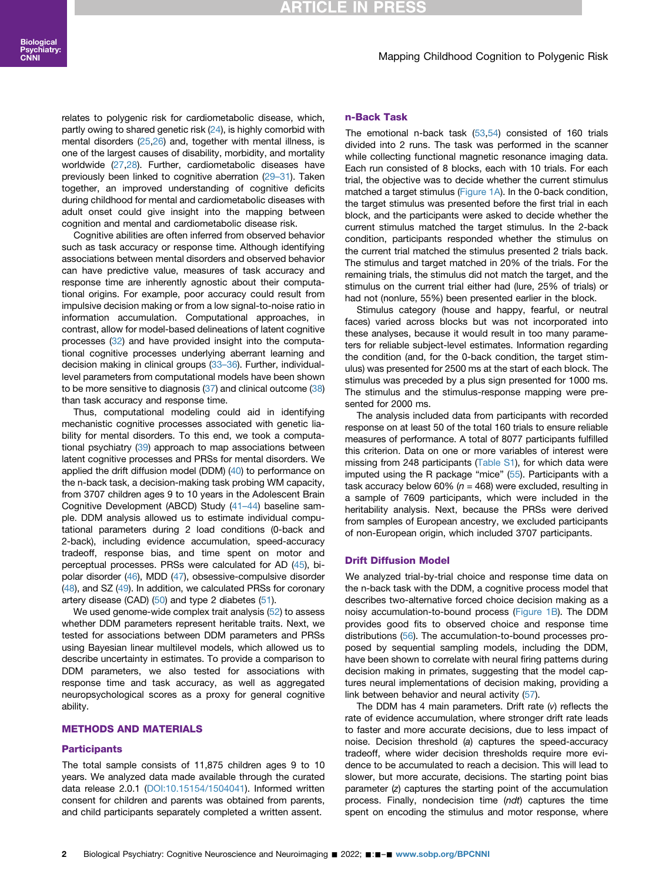## **RTICLE IN PR**

#### Mapping Childhood Cognition to Polygenic Risk

relates to polygenic risk for cardiometabolic disease, which, partly owing to shared genetic risk ([24](#page-8-17)), is highly comorbid with mental disorders [\(25,](#page-8-18)[26](#page-8-19)) and, together with mental illness, is one of the largest causes of disability, morbidity, and mortality worldwide ([27](#page-8-20)[,28\)](#page-8-21). Further, cardiometabolic diseases have previously been linked to cognitive aberration (29–[31\)](#page-8-22). Taken together, an improved understanding of cognitive deficits during childhood for mental and cardiometabolic diseases with adult onset could give insight into the mapping between cognition and mental and cardiometabolic disease risk.

Cognitive abilities are often inferred from observed behavior such as task accuracy or response time. Although identifying associations between mental disorders and observed behavior can have predictive value, measures of task accuracy and response time are inherently agnostic about their computational origins. For example, poor accuracy could result from impulsive decision making or from a low signal-to-noise ratio in information accumulation. Computational approaches, in contrast, allow for model-based delineations of latent cognitive processes [\(32\)](#page-8-23) and have provided insight into the computational cognitive processes underlying aberrant learning and decision making in clinical groups (33–[36\)](#page-8-24). Further, individuallevel parameters from computational models have been shown to be more sensitive to diagnosis ([37](#page-8-25)) and clinical outcome ([38](#page-8-26)) than task accuracy and response time.

Thus, computational modeling could aid in identifying mechanistic cognitive processes associated with genetic liability for mental disorders. To this end, we took a computational psychiatry [\(39\)](#page-8-27) approach to map associations between latent cognitive processes and PRSs for mental disorders. We applied the drift diffusion model (DDM) ([40](#page-8-28)) to performance on the n-back task, a decision-making task probing WM capacity, from 3707 children ages 9 to 10 years in the Adolescent Brain Cognitive Development (ABCD) Study (41–[44\)](#page-8-29) baseline sample. DDM analysis allowed us to estimate individual computational parameters during 2 load conditions (0-back and 2-back), including evidence accumulation, speed-accuracy tradeoff, response bias, and time spent on motor and perceptual processes. PRSs were calculated for AD [\(45](#page-9-0)), bipolar disorder ([46](#page-9-1)), MDD ([47](#page-9-2)), obsessive-compulsive disorder ([48](#page-9-3)), and SZ ([49](#page-9-4)). In addition, we calculated PRSs for coronary artery disease (CAD) [\(50](#page-9-5)) and type 2 diabetes ([51](#page-9-6)).

We used genome-wide complex trait analysis [\(52](#page-9-7)) to assess whether DDM parameters represent heritable traits. Next, we tested for associations between DDM parameters and PRSs using Bayesian linear multilevel models, which allowed us to describe uncertainty in estimates. To provide a comparison to DDM parameters, we also tested for associations with response time and task accuracy, as well as aggregated neuropsychological scores as a proxy for general cognitive ability.

#### METHODS AND MATERIALS

#### **Participants**

The total sample consists of 11,875 children ages 9 to 10 years. We analyzed data made available through the curated data release 2.0.1 [\(DOI:10.15154/1504041\)](https://nda.nih.gov/study.html?id=721). Informed written consent for children and parents was obtained from parents, and child participants separately completed a written assent.

#### n-Back Task

The emotional n-back task ([53](#page-9-8)[,54](#page-9-9)) consisted of 160 trials divided into 2 runs. The task was performed in the scanner while collecting functional magnetic resonance imaging data. Each run consisted of 8 blocks, each with 10 trials. For each trial, the objective was to decide whether the current stimulus matched a target stimulus [\(Figure 1A](#page-2-0)). In the 0-back condition, the target stimulus was presented before the first trial in each block, and the participants were asked to decide whether the current stimulus matched the target stimulus. In the 2-back condition, participants responded whether the stimulus on the current trial matched the stimulus presented 2 trials back. The stimulus and target matched in 20% of the trials. For the remaining trials, the stimulus did not match the target, and the stimulus on the current trial either had (lure, 25% of trials) or had not (nonlure, 55%) been presented earlier in the block.

Stimulus category (house and happy, fearful, or neutral faces) varied across blocks but was not incorporated into these analyses, because it would result in too many parameters for reliable subject-level estimates. Information regarding the condition (and, for the 0-back condition, the target stimulus) was presented for 2500 ms at the start of each block. The stimulus was preceded by a plus sign presented for 1000 ms. The stimulus and the stimulus-response mapping were presented for 2000 ms.

The analysis included data from participants with recorded response on at least 50 of the total 160 trials to ensure reliable measures of performance. A total of 8077 participants fulfilled this criterion. Data on one or more variables of interest were missing from 248 participants ([Table S1](#page-9-10)), for which data were imputed using the R package "mice" [\(55\)](#page-9-11). Participants with a task accuracy below 60% ( $n = 468$ ) were excluded, resulting in a sample of 7609 participants, which were included in the heritability analysis. Next, because the PRSs were derived from samples of European ancestry, we excluded participants of non-European origin, which included 3707 participants.

#### Drift Diffusion Model

We analyzed trial-by-trial choice and response time data on the n-back task with the DDM, a cognitive process model that describes two-alternative forced choice decision making as a noisy accumulation-to-bound process ([Figure 1B](#page-2-0)). The DDM provides good fits to observed choice and response time distributions ([56\)](#page-9-12). The accumulation-to-bound processes proposed by sequential sampling models, including the DDM, have been shown to correlate with neural firing patterns during decision making in primates, suggesting that the model captures neural implementations of decision making, providing a link between behavior and neural activity ([57](#page-9-13)).

The DDM has 4 main parameters. Drift rate (v) reflects the rate of evidence accumulation, where stronger drift rate leads to faster and more accurate decisions, due to less impact of noise. Decision threshold (a) captures the speed-accuracy tradeoff, where wider decision thresholds require more evidence to be accumulated to reach a decision. This will lead to slower, but more accurate, decisions. The starting point bias parameter (z) captures the starting point of the accumulation process. Finally, nondecision time (ndt) captures the time spent on encoding the stimulus and motor response, where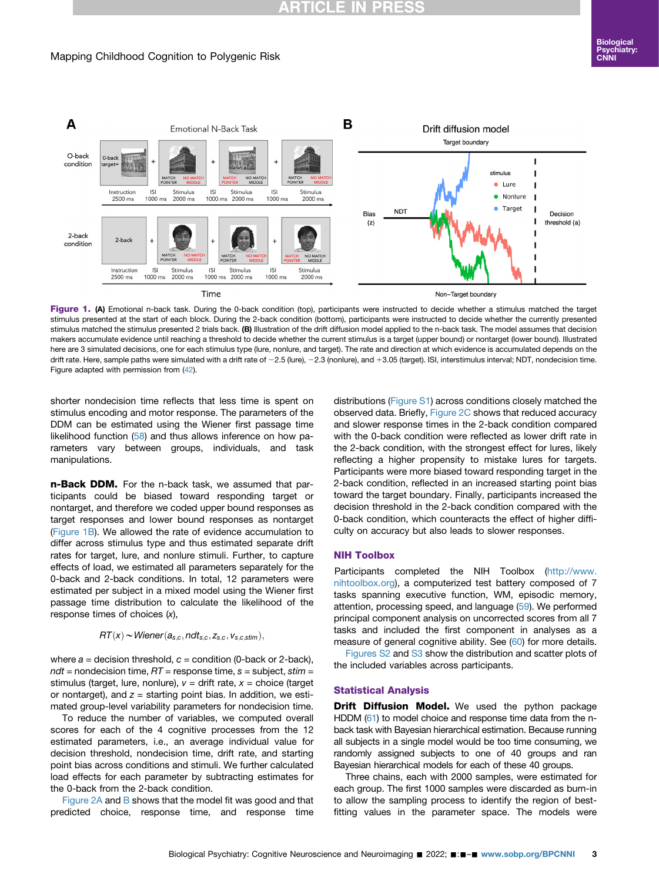## **RTICLE IN PR**

## Mapping Childhood Cognition to Polygenic Risk

<span id="page-2-0"></span>

Figure 1. (A) Emotional n-back task. During the 0-back condition (top), participants were instructed to decide whether a stimulus matched the target stimulus presented at the start of each block. During the 2-back condition (bottom), participants were instructed to decide whether the currently presented stimulus matched the stimulus presented 2 trials back. (B) Illustration of the drift diffusion model applied to the n-back task. The model assumes that decision makers accumulate evidence until reaching a threshold to decide whether the current stimulus is a target (upper bound) or nontarget (lower bound). Illustrated here are 3 simulated decisions, one for each stimulus type (lure, nonlure, and target). The rate and direction at which evidence is accumulated depends on the drift rate. Here, sample paths were simulated with a drift rate of -2.5 (lure), -2.3 (nonlure), and +3.05 (target). ISI, interstimulus interval; NDT, nondecision time. Figure adapted with permission from ([42](#page-8-30)).

shorter nondecision time reflects that less time is spent on stimulus encoding and motor response. The parameters of the DDM can be estimated using the Wiener first passage time likelihood function [\(58](#page-9-14)) and thus allows inference on how parameters vary between groups, individuals, and task manipulations.

n-Back DDM. For the n-back task, we assumed that participants could be biased toward responding target or nontarget, and therefore we coded upper bound responses as target responses and lower bound responses as nontarget ([Figure 1B\)](#page-2-0). We allowed the rate of evidence accumulation to differ across stimulus type and thus estimated separate drift rates for target, lure, and nonlure stimuli. Further, to capture effects of load, we estimated all parameters separately for the 0-back and 2-back conditions. In total, 12 parameters were estimated per subject in a mixed model using the Wiener first passage time distribution to calculate the likelihood of the response times of choices (x),

$$
RT(x) \sim Wiener(a_{s,c}, ndt_{s,c}, z_{s,c}, v_{s,c,stim}),
$$

where  $a =$  decision threshold,  $c =$  condition (0-back or 2-back),  $ndt$  = nondecision time,  $RT$  = response time,  $s$  = subject, stim = stimulus (target, lure, nonlure),  $v =$  drift rate,  $x =$  choice (target or nontarget), and  $z =$  starting point bias. In addition, we estimated group-level variability parameters for nondecision time.

To reduce the number of variables, we computed overall scores for each of the 4 cognitive processes from the 12 estimated parameters, i.e., an average individual value for decision threshold, nondecision time, drift rate, and starting point bias across conditions and stimuli. We further calculated load effects for each parameter by subtracting estimates for the 0-back from the 2-back condition.

[Figure 2A](#page-3-0) and [B](#page-3-0) shows that the model fit was good and that predicted choice, response time, and response time

distributions ([Figure S1](#page-9-10)) across conditions closely matched the observed data. Briefly, [Figure 2C](#page-3-0) shows that reduced accuracy and slower response times in the 2-back condition compared with the 0-back condition were reflected as lower drift rate in the 2-back condition, with the strongest effect for lures, likely reflecting a higher propensity to mistake lures for targets. Participants were more biased toward responding target in the 2-back condition, reflected in an increased starting point bias toward the target boundary. Finally, participants increased the decision threshold in the 2-back condition compared with the 0-back condition, which counteracts the effect of higher difficulty on accuracy but also leads to slower responses.

#### NIH Toolbox

Participants completed the NIH Toolbox ([http://www.](http://www.nihtoolbox.org) [nihtoolbox.org\)](http://www.nihtoolbox.org), a computerized test battery composed of 7 tasks spanning executive function, WM, episodic memory, attention, processing speed, and language ([59\)](#page-9-15). We performed principal component analysis on uncorrected scores from all 7 tasks and included the first component in analyses as a measure of general cognitive ability. See [\(60\)](#page-9-16) for more details.

[Figures S2](#page-9-10) and [S3](#page-9-10) show the distribution and scatter plots of the included variables across participants.

#### Statistical Analysis

**Drift Diffusion Model.** We used the python package HDDM ([61\)](#page-9-17) to model choice and response time data from the nback task with Bayesian hierarchical estimation. Because running all subjects in a single model would be too time consuming, we randomly assigned subjects to one of 40 groups and ran Bayesian hierarchical models for each of these 40 groups.

Three chains, each with 2000 samples, were estimated for each group. The first 1000 samples were discarded as burn-in to allow the sampling process to identify the region of bestfitting values in the parameter space. The models were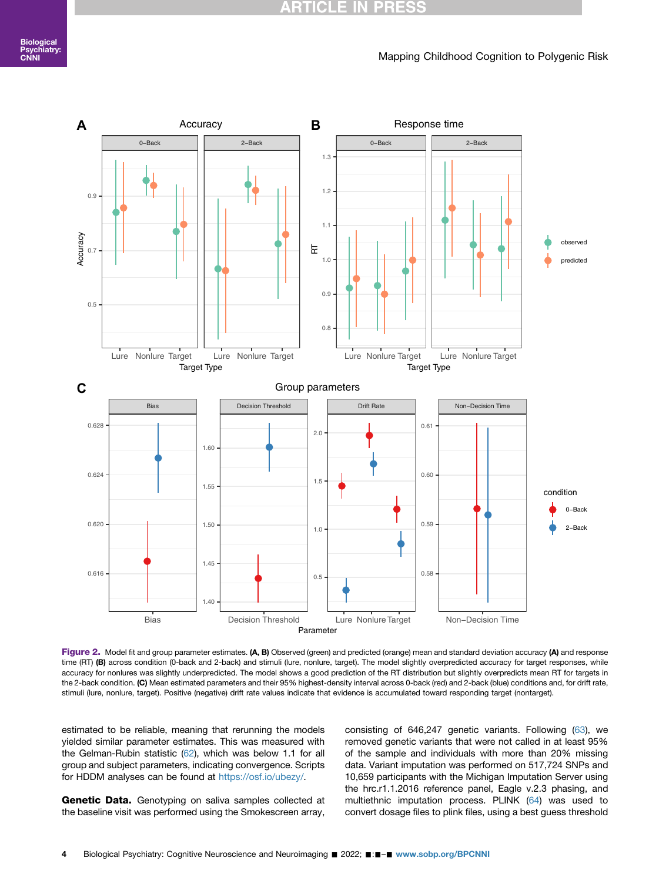#### **ARTICLE IN PR** ESS

#### Mapping Childhood Cognition to Polygenic Risk

<span id="page-3-0"></span>

Figure 2. Model fit and group parameter estimates. (A, B) Observed (green) and predicted (orange) mean and standard deviation accuracy (A) and response time (RT) (B) across condition (0-back and 2-back) and stimuli (lure, nonlure, target). The model slightly overpredicted accuracy for target responses, while accuracy for nonlures was slightly underpredicted. The model shows a good prediction of the RT distribution but slightly overpredicts mean RT for targets in the 2-back condition. (C) Mean estimated parameters and their 95% highest-density interval across 0-back (red) and 2-back (blue) conditions and, for drift rate, stimuli (lure, nonlure, target). Positive (negative) drift rate values indicate that evidence is accumulated toward responding target (nontarget).

estimated to be reliable, meaning that rerunning the models yielded similar parameter estimates. This was measured with the Gelman-Rubin statistic [\(62](#page-9-18)), which was below 1.1 for all group and subject parameters, indicating convergence. Scripts for HDDM analyses can be found at [https://osf.io/ubezy/.](https://osf.io/ubezy/)

Genetic Data. Genotyping on saliva samples collected at the baseline visit was performed using the Smokescreen array,

consisting of 646,247 genetic variants. Following [\(63\)](#page-9-19), we removed genetic variants that were not called in at least 95% of the sample and individuals with more than 20% missing data. Variant imputation was performed on 517,724 SNPs and 10,659 participants with the Michigan Imputation Server using the hrc.r1.1.2016 reference panel, Eagle v.2.3 phasing, and multiethnic imputation process. PLINK ([64\)](#page-9-20) was used to convert dosage files to plink files, using a best guess threshold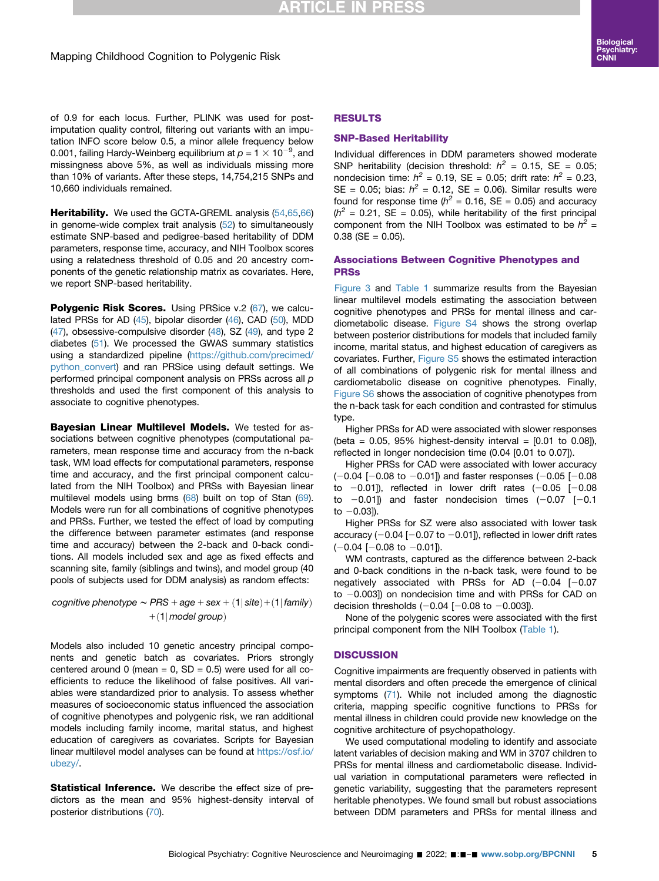## **RTICLE IN PRESS**

of 0.9 for each locus. Further, PLINK was used for postimputation quality control, filtering out variants with an imputation INFO score below 0.5, a minor allele frequency below 0.001, failing Hardy-Weinberg equilibrium at  $p = 1 \times 10^{-9}$ , and missingness above 5%, as well as individuals missing more than 10% of variants. After these steps, 14,754,215 SNPs and 10,660 individuals remained.

Heritability. We used the GCTA-GREML analysis ([54](#page-9-9)[,65,](#page-9-21)[66](#page-9-22)) in genome-wide complex trait analysis [\(52\)](#page-9-7) to simultaneously estimate SNP-based and pedigree-based heritability of DDM parameters, response time, accuracy, and NIH Toolbox scores using a relatedness threshold of 0.05 and 20 ancestry components of the genetic relationship matrix as covariates. Here, we report SNP-based heritability.

**Polygenic Risk Scores.** Using PRSice v.2 [\(67\)](#page-9-23), we calculated PRSs for AD ([45\)](#page-9-0), bipolar disorder ([46\)](#page-9-1), CAD [\(50\)](#page-9-5), MDD  $(47)$  $(47)$  $(47)$ , obsessive-compulsive disorder  $(48)$  $(48)$  $(48)$ , SZ  $(49)$  $(49)$  $(49)$ , and type 2 diabetes [\(51\)](#page-9-6). We processed the GWAS summary statistics using a standardized pipeline [\(https://github.com/precimed/](https://github.com/precimed/python_convert) [python\\_convert](https://github.com/precimed/python_convert)) and ran PRSice using default settings. We performed principal component analysis on PRSs across all p thresholds and used the first component of this analysis to associate to cognitive phenotypes.

Bayesian Linear Multilevel Models. We tested for associations between cognitive phenotypes (computational parameters, mean response time and accuracy from the n-back task, WM load effects for computational parameters, response time and accuracy, and the first principal component calculated from the NIH Toolbox) and PRSs with Bayesian linear multilevel models using brms ([68](#page-9-24)) built on top of Stan ([69](#page-9-25)). Models were run for all combinations of cognitive phenotypes and PRSs. Further, we tested the effect of load by computing the difference between parameter estimates (and response time and accuracy) between the 2-back and 0-back conditions. All models included sex and age as fixed effects and scanning site, family (siblings and twins), and model group (40 pools of subjects used for DDM analysis) as random effects:

cognitive phenotype  $\sim PRS + age + sex + (1| site) + (1| family)$  $+(1|$  model group)

Models also included 10 genetic ancestry principal components and genetic batch as covariates. Priors strongly centered around 0 (mean =  $0$ , SD =  $0.5$ ) were used for all coefficients to reduce the likelihood of false positives. All variables were standardized prior to analysis. To assess whether measures of socioeconomic status influenced the association of cognitive phenotypes and polygenic risk, we ran additional models including family income, marital status, and highest education of caregivers as covariates. Scripts for Bayesian linear multilevel model analyses can be found at [https://osf.io/](https://osf.io/ubezy/) [ubezy/.](https://osf.io/ubezy/)

Statistical Inference. We describe the effect size of predictors as the mean and 95% highest-density interval of posterior distributions ([70](#page-9-26)).

## RESULTS

#### SNP-Based Heritability

Individual differences in DDM parameters showed moderate SNP heritability (decision threshold:  $h^2 = 0.15$ , SE = 0.05; nondecision time:  $h^2 = 0.19$ , SE = 0.05; drift rate:  $h^2 = 0.23$ , SE = 0.05; bias:  $h^2$  = 0.12, SE = 0.06). Similar results were found for response time ( $h^2$  = 0.16, SE = 0.05) and accuracy  $(h^2 = 0.21, SE = 0.05)$ , while heritability of the first principal component from the NIH Toolbox was estimated to be  $h^2$  =  $0.38$  (SE = 0.05).

### Associations Between Cognitive Phenotypes and PRSs

[Figure 3](#page-5-0) and [Table 1](#page-6-0) summarize results from the Bayesian linear multilevel models estimating the association between cognitive phenotypes and PRSs for mental illness and cardiometabolic disease. [Figure S4](#page-9-10) shows the strong overlap between posterior distributions for models that included family income, marital status, and highest education of caregivers as covariates. Further, [Figure S5](#page-9-10) shows the estimated interaction of all combinations of polygenic risk for mental illness and cardiometabolic disease on cognitive phenotypes. Finally, [Figure S6](#page-9-10) shows the association of cognitive phenotypes from the n-back task for each condition and contrasted for stimulus type.

Higher PRSs for AD were associated with slower responses (beta =  $0.05$ ,  $95\%$  highest-density interval =  $[0.01$  to  $0.08]$ ), reflected in longer nondecision time (0.04 [0.01 to 0.07]).

Higher PRSs for CAD were associated with lower accuracy  $(-0.04$   $[-0.08$  to  $-0.01]$ ) and faster responses (-0.05 [-0.08 to  $-0.01$ ]), reflected in lower drift rates  $(-0.05$   $[-0.08]$ to  $-0.01$ ]) and faster nondecision times  $(-0.07$   $[-0.1]$ to  $-0.03$ ]).

Higher PRSs for SZ were also associated with lower task accuracy  $(-0.04 [-0.07 \text{ to } -0.01])$ , reflected in lower drift rates  $(-0.04$  [-0.08 to -0.01]).

WM contrasts, captured as the difference between 2-back and 0-back conditions in the n-back task, were found to be negatively associated with PRSs for AD  $(-0.04$   $[-0.07]$ to  $-0.003$ ]) on nondecision time and with PRSs for CAD on decision thresholds  $(-0.04 [-0.08 \text{ to } -0.003])$ .

None of the polygenic scores were associated with the first principal component from the NIH Toolbox ([Table 1\)](#page-6-0).

## **DISCUSSION**

Cognitive impairments are frequently observed in patients with mental disorders and often precede the emergence of clinical symptoms [\(71\)](#page-9-27). While not included among the diagnostic criteria, mapping specific cognitive functions to PRSs for mental illness in children could provide new knowledge on the cognitive architecture of psychopathology.

We used computational modeling to identify and associate latent variables of decision making and WM in 3707 children to PRSs for mental illness and cardiometabolic disease. Individual variation in computational parameters were reflected in genetic variability, suggesting that the parameters represent heritable phenotypes. We found small but robust associations between DDM parameters and PRSs for mental illness and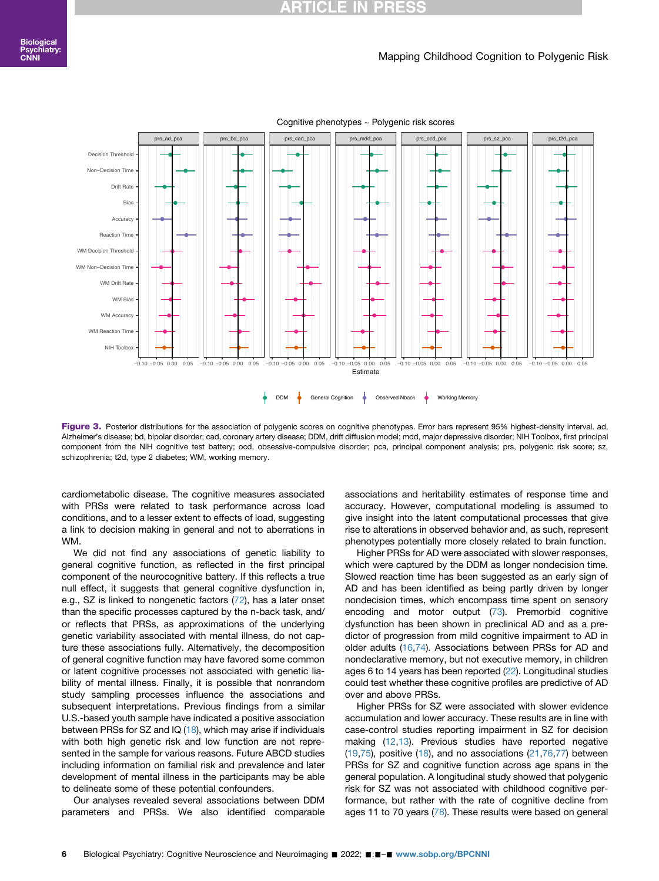#### Mapping Childhood Cognition to Polygenic Risk

<span id="page-5-0"></span>

Cognitive phenotypes ~ Polygenic risk scores

Figure 3. Posterior distributions for the association of polygenic scores on cognitive phenotypes. Error bars represent 95% highest-density interval. ad, Alzheimer's disease; bd, bipolar disorder; cad, coronary artery disease; DDM, drift diffusion model; mdd, major depressive disorder; NIH Toolbox, first principal component from the NIH cognitive test battery; ocd, obsessive-compulsive disorder; pca, principal component analysis; prs, polygenic risk score; sz, schizophrenia; t2d, type 2 diabetes; WM, working memory.

cardiometabolic disease. The cognitive measures associated with PRSs were related to task performance across load conditions, and to a lesser extent to effects of load, suggesting a link to decision making in general and not to aberrations in WM.

We did not find any associations of genetic liability to general cognitive function, as reflected in the first principal component of the neurocognitive battery. If this reflects a true null effect, it suggests that general cognitive dysfunction in, e.g., SZ is linked to nongenetic factors ([72](#page-9-28)), has a later onset than the specific processes captured by the n-back task, and/ or reflects that PRSs, as approximations of the underlying genetic variability associated with mental illness, do not capture these associations fully. Alternatively, the decomposition of general cognitive function may have favored some common or latent cognitive processes not associated with genetic liability of mental illness. Finally, it is possible that nonrandom study sampling processes influence the associations and subsequent interpretations. Previous findings from a similar U.S.-based youth sample have indicated a positive association between PRSs for SZ and IQ [\(18](#page-8-11)), which may arise if individuals with both high genetic risk and low function are not represented in the sample for various reasons. Future ABCD studies including information on familial risk and prevalence and later development of mental illness in the participants may be able to delineate some of these potential confounders.

Our analyses revealed several associations between DDM parameters and PRSs. We also identified comparable associations and heritability estimates of response time and accuracy. However, computational modeling is assumed to give insight into the latent computational processes that give rise to alterations in observed behavior and, as such, represent phenotypes potentially more closely related to brain function.

Higher PRSs for AD were associated with slower responses, which were captured by the DDM as longer nondecision time. Slowed reaction time has been suggested as an early sign of AD and has been identified as being partly driven by longer nondecision times, which encompass time spent on sensory encoding and motor output ([73](#page-9-29)). Premorbid cognitive dysfunction has been shown in preclinical AD and as a predictor of progression from mild cognitive impairment to AD in older adults [\(16,](#page-8-31)[74](#page-9-30)). Associations between PRSs for AD and nondeclarative memory, but not executive memory, in children ages 6 to 14 years has been reported ([22](#page-8-15)). Longitudinal studies could test whether these cognitive profiles are predictive of AD over and above PRSs.

Higher PRSs for SZ were associated with slower evidence accumulation and lower accuracy. These results are in line with case-control studies reporting impairment in SZ for decision making [\(12](#page-8-8),[13](#page-8-9)). Previous studies have reported negative  $(19,75)$  $(19,75)$  $(19,75)$ , positive  $(18)$ , and no associations  $(21,76,77)$  $(21,76,77)$  $(21,76,77)$  $(21,76,77)$  $(21,76,77)$  between PRSs for SZ and cognitive function across age spans in the general population. A longitudinal study showed that polygenic risk for SZ was not associated with childhood cognitive performance, but rather with the rate of cognitive decline from ages 11 to 70 years [\(78\)](#page-9-34). These results were based on general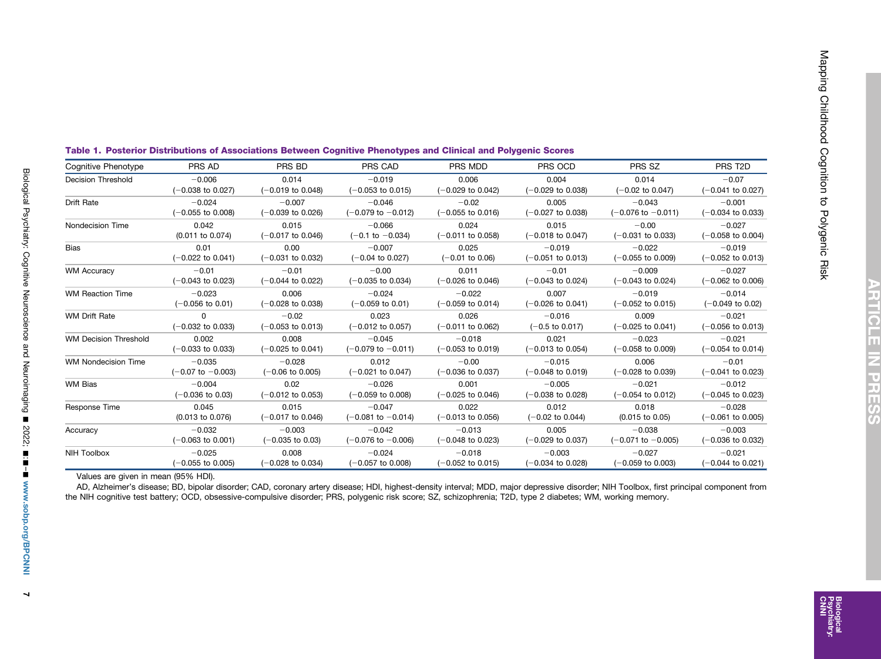| Cognitive Phenotype          | PRS AD                       | PRS BD                       | PRS CAD                       | PRS MDD                      | PRS OCD                      | PRS SZ                        | PRS T <sub>2</sub> D         |  |
|------------------------------|------------------------------|------------------------------|-------------------------------|------------------------------|------------------------------|-------------------------------|------------------------------|--|
| <b>Decision Threshold</b>    | $-0.006$                     | 0.014                        | $-0.019$                      | 0.006                        | 0.004                        | 0.014                         | $-0.07$                      |  |
|                              | $(-0.038$ to 0.027)          | $(-0.019)$ to 0.048)         | $(-0.053$ to 0.015)           | $(-0.029$ to 0.042)          | $(-0.029 \text{ to } 0.038)$ | $(-0.02 \text{ to } 0.047)$   | $(-0.041$ to 0.027)          |  |
| Drift Rate                   | $-0.024$                     | $-0.007$                     | $-0.046$                      | $-0.02$                      | 0.005                        | $-0.043$                      | $-0.001$                     |  |
|                              | $(-0.055$ to 0.008)          | $(-0.039$ to 0.026)          | $(-0.079 \text{ to } -0.012)$ | $(-0.055$ to 0.016)          | $(-0.027$ to 0.038)          | $(-0.076 \text{ to } -0.011)$ | $(-0.034$ to 0.033)          |  |
| Nondecision Time             | 0.042                        | 0.015                        | $-0.066$                      | 0.024                        | 0.015                        | $-0.00$                       | $-0.027$                     |  |
|                              | (0.011 to 0.074)             | $(-0.017)$ to 0.046)         | $(-0.1 \text{ to } -0.034)$   | $(-0.011$ to 0.058)          | $(-0.018 \text{ to } 0.047)$ | $(-0.031$ to 0.033)           | $(-0.058$ to 0.004)          |  |
| <b>Bias</b>                  | 0.01                         | 0.00                         | $-0.007$                      | 0.025                        | $-0.019$                     | $-0.022$                      | $-0.019$                     |  |
|                              | $(-0.022$ to 0.041)          | $(-0.031$ to 0.032)          | $(-0.04 \text{ to } 0.027)$   | $(-0.01)$ to 0.06)           | $(-0.051$ to 0.013)          | $(-0.055$ to 0.009)           | $(-0.052$ to 0.013)          |  |
| <b>WM Accuracy</b>           | $-0.01$                      | $-0.01$                      | $-0.00$                       | 0.011                        | $-0.01$                      | $-0.009$                      | $-0.027$                     |  |
|                              | $(-0.043$ to 0.023)          | $(-0.044 \text{ to } 0.022)$ | $(-0.035$ to 0.034)           | $(-0.026$ to 0.046)          | $(-0.043$ to 0.024)          | $(-0.043$ to 0.024)           | $(-0.062 \text{ to } 0.006)$ |  |
| <b>WM Reaction Time</b>      | $-0.023$                     | 0.006                        | $-0.024$                      | $-0.022$                     | 0.007                        | $-0.019$                      | $-0.014$                     |  |
|                              | $(-0.056 \text{ to } 0.01)$  | $(-0.028 \text{ to } 0.038)$ | $(-0.059)$ to 0.01)           | $(-0.059 \text{ to } 0.014)$ | $(-0.026 \text{ to } 0.041)$ | $(-0.052 \text{ to } 0.015)$  | $(-0.049$ to 0.02)           |  |
| <b>WM Drift Rate</b>         | $\Omega$                     | $-0.02$                      | 0.023                         | 0.026                        | $-0.016$                     | 0.009                         | $-0.021$                     |  |
|                              | $(-0.032$ to 0.033)          | $(-0.053$ to 0.013)          | $(-0.012 \text{ to } 0.057)$  | $(-0.011$ to 0.062)          | $(-0.5 \text{ to } 0.017)$   | $(-0.025 \text{ to } 0.041)$  | $(-0.056$ to 0.013)          |  |
| <b>WM Decision Threshold</b> | 0.002                        | 0.008                        | $-0.045$                      | $-0.018$                     | 0.021                        | $-0.023$                      | $-0.021$                     |  |
|                              | $(-0.033)$ to 0.033)         | $(-0.025 \text{ to } 0.041)$ | $(-0.079 \text{ to } -0.011)$ | $(-0.053$ to 0.019)          | $(-0.013 \text{ to } 0.054)$ | $(-0.058 \text{ to } 0.009)$  | $(-0.054 \text{ to } 0.014)$ |  |
| <b>WM Nondecision Time</b>   | $-0.035$                     | $-0.028$                     | 0.012                         | $-0.00$                      | $-0.015$                     | 0.006                         | $-0.01$                      |  |
|                              | $(-0.07 \text{ to } -0.003)$ | $(-0.06 \text{ to } 0.005)$  | $(-0.021$ to 0.047)           | $(-0.036$ to 0.037)          | $(-0.048 \text{ to } 0.019)$ | $(-0.028 \text{ to } 0.039)$  | $(-0.041$ to 0.023)          |  |
| <b>WM Bias</b>               | $-0.004$                     | 0.02                         | $-0.026$                      | 0.001                        | $-0.005$                     | $-0.021$                      | $-0.012$                     |  |
|                              | (-0.036 to 0.03)             | $(-0.012 \text{ to } 0.053)$ | $(-0.059$ to 0.008)           | (-0.025 to 0.046)            | (-0.038 to 0.028)            | $(-0.054$ to 0.012)           | $(-0.045$ to 0.023)          |  |
| Response Time                | 0.045                        | 0.015                        | $-0.047$                      | 0.022                        | 0.012                        | 0.018                         | $-0.028$                     |  |
|                              | (0.013 to 0.076)             | $(-0.017$ to 0.046)          | $(-0.081$ to $-0.014)$        | $(-0.013$ to 0.056)          | $(-0.02 \text{ to } 0.044)$  | $(0.015 \text{ to } 0.05)$    | $(-0.061$ to 0.005)          |  |
| Accuracy                     | $-0.032$                     | $-0.003$                     | $-0.042$                      | $-0.013$                     | 0.005                        | $-0.038$                      | $-0.003$                     |  |
|                              | $(-0.063 \text{ to } 0.001)$ | $(-0.035$ to 0.03)           | $(-0.076 \text{ to } -0.006)$ | $(-0.048 \text{ to } 0.023)$ | $(-0.029$ to 0.037)          | $(-0.071$ to $-0.005)$        | $(-0.036$ to 0.032)          |  |
| <b>NIH Toolbox</b>           | $-0.025$                     | 0.008                        | $-0.024$                      | $-0.018$                     | $-0.003$                     | $-0.027$                      | $-0.021$                     |  |
|                              | $(-0.055$ to 0.005)          | $(-0.028 \text{ to } 0.034)$ | $(-0.057)$ to 0.008)          | $(-0.052$ to 0.015)          | $(-0.034 \text{ to } 0.028)$ | $(-0.059)$ to 0.003)          | $(-0.044$ to 0.021)          |  |

<span id="page-6-0"></span>

|  | Table 1. Posterior Distributions of Associations Between Cognitive Phenotypes and Clinical and Polygenic Scores |  |  |  |  |
|--|-----------------------------------------------------------------------------------------------------------------|--|--|--|--|
|  |                                                                                                                 |  |  |  |  |

Values are given in mean (95% HDI).

AD, Alzheimer'<sup>s</sup> disease; BD, bipolar disorder; CAD, coronary artery disease; HDI, highest-density interval; MDD, major depressive disorder; NIH Toolbox, first principal component from the NIH cognitive test battery; OCD, obsessive-compulsive disorder; PRS, polygenic risk score; SZ, schizophrenia; T2D, type 2 diabetes; WM, working memory.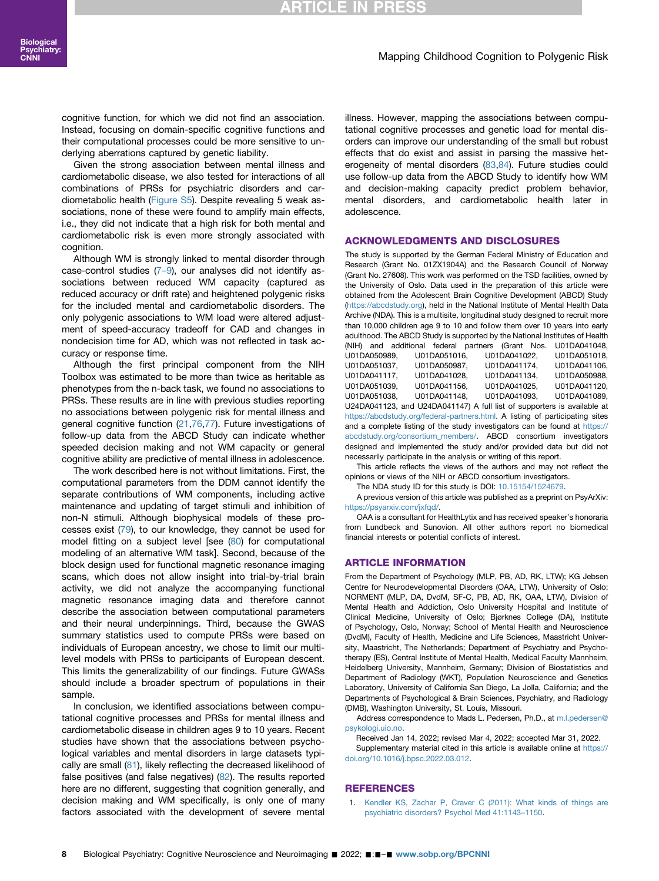# **RTICLE IN PRES**

#### Mapping Childhood Cognition to Polygenic Risk

cognitive function, for which we did not find an association. Instead, focusing on domain-specific cognitive functions and their computational processes could be more sensitive to underlying aberrations captured by genetic liability.

Given the strong association between mental illness and cardiometabolic disease, we also tested for interactions of all combinations of PRSs for psychiatric disorders and cardiometabolic health [\(Figure S5\)](#page-9-10). Despite revealing 5 weak associations, none of these were found to amplify main effects, i.e., they did not indicate that a high risk for both mental and cardiometabolic risk is even more strongly associated with cognition.

Although WM is strongly linked to mental disorder through case-control studies  $(7-9)$  $(7-9)$ , our analyses did not identify associations between reduced WM capacity (captured as reduced accuracy or drift rate) and heightened polygenic risks for the included mental and cardiometabolic disorders. The only polygenic associations to WM load were altered adjustment of speed-accuracy tradeoff for CAD and changes in nondecision time for AD, which was not reflected in task accuracy or response time.

Although the first principal component from the NIH Toolbox was estimated to be more than twice as heritable as phenotypes from the n-back task, we found no associations to PRSs. These results are in line with previous studies reporting no associations between polygenic risk for mental illness and general cognitive function ([21](#page-8-14)[,76,](#page-9-32)[77](#page-9-33)). Future investigations of follow-up data from the ABCD Study can indicate whether speeded decision making and not WM capacity or general cognitive ability are predictive of mental illness in adolescence.

The work described here is not without limitations. First, the computational parameters from the DDM cannot identify the separate contributions of WM components, including active maintenance and updating of target stimuli and inhibition of non-N stimuli. Although biophysical models of these processes exist ([79](#page-9-35)), to our knowledge, they cannot be used for model fitting on a subject level [see ([80](#page-9-36)) for computational modeling of an alternative WM task]. Second, because of the block design used for functional magnetic resonance imaging scans, which does not allow insight into trial-by-trial brain activity, we did not analyze the accompanying functional magnetic resonance imaging data and therefore cannot describe the association between computational parameters and their neural underpinnings. Third, because the GWAS summary statistics used to compute PRSs were based on individuals of European ancestry, we chose to limit our multilevel models with PRSs to participants of European descent. This limits the generalizability of our findings. Future GWASs should include a broader spectrum of populations in their sample.

In conclusion, we identified associations between computational cognitive processes and PRSs for mental illness and cardiometabolic disease in children ages 9 to 10 years. Recent studies have shown that the associations between psychological variables and mental disorders in large datasets typically are small ([81\)](#page-9-37), likely reflecting the decreased likelihood of false positives (and false negatives) ([82](#page-9-38)). The results reported here are no different, suggesting that cognition generally, and decision making and WM specifically, is only one of many factors associated with the development of severe mental

illness. However, mapping the associations between computational cognitive processes and genetic load for mental disorders can improve our understanding of the small but robust effects that do exist and assist in parsing the massive heterogeneity of mental disorders ([83](#page-9-39),[84\)](#page-9-40). Future studies could use follow-up data from the ABCD Study to identify how WM and decision-making capacity predict problem behavior, mental disorders, and cardiometabolic health later in adolescence.

#### ACKNOWLEDGMENTS AND DISCLOSURES

The study is supported by the German Federal Ministry of Education and Research (Grant No. 01ZX1904A) and the Research Council of Norway (Grant No. 27608). This work was performed on the TSD facilities, owned by the University of Oslo. Data used in the preparation of this article were obtained from the Adolescent Brain Cognitive Development (ABCD) Study [\(https://abcdstudy.org](https://abcdstudy.org)), held in the National Institute of Mental Health Data Archive (NDA). This is a multisite, longitudinal study designed to recruit more than 10,000 children age 9 to 10 and follow them over 10 years into early adulthood. The ABCD Study is supported by the National Institutes of Health (NIH) and additional federal partners (Grant Nos. U01DA041048, U01DA050989, U01DA051016, U01DA041022, U01DA051018, U01DA051037, U01DA050987, U01DA041174, U01DA041117, U01DA041028, U01DA041134, U01DA050988, U01DA051039, U01DA041156, U01DA041025, U01DA041120,

U01DA051038, U01DA041148, U01DA041093, U01DA041089, U24DA041123, and U24DA041147) A full list of supporters is available at <https://abcdstudy.org/federal-partners.html>. A listing of participating sites and a complete listing of the study investigators can be found at [https://](https://abcdstudy.org/consortium_members/) [abcdstudy.org/consortium\\_members/.](https://abcdstudy.org/consortium_members/) ABCD consortium investigators designed and implemented the study and/or provided data but did not necessarily participate in the analysis or writing of this report.

This article reflects the views of the authors and may not reflect the opinions or views of the NIH or ABCD consortium investigators.

The NDA study ID for this study is DOI: [10.15154/1524679.](https://doi.org/10.15154/1524679)

A previous version of this article was published as a preprint on PsyArXiv: <https://psyarxiv.com/jxfqd/>.

OAA is a consultant for HealthLytix and has received speaker's honoraria from Lundbeck and Sunovion. All other authors report no biomedical financial interests or potential conflicts of interest.

#### ARTICLE INFORMATION

From the Department of Psychology (MLP, PB, AD, RK, LTW); KG Jebsen Centre for Neurodevelopmental Disorders (OAA, LTW), University of Oslo; NORMENT (MLP, DA, DvdM, SF-C, PB, AD, RK, OAA, LTW), Division of Mental Health and Addiction, Oslo University Hospital and Institute of Clinical Medicine, University of Oslo; Bjørknes College (DA), Institute of Psychology, Oslo, Norway; School of Mental Health and Neuroscience (DvdM), Faculty of Health, Medicine and Life Sciences, Maastricht University, Maastricht, The Netherlands; Department of Psychiatry and Psychotherapy (ES), Central Institute of Mental Health, Medical Faculty Mannheim, Heidelberg University, Mannheim, Germany; Division of Biostatistics and Department of Radiology (WKT), Population Neuroscience and Genetics Laboratory, University of California San Diego, La Jolla, California; and the Departments of Psychological & Brain Sciences, Psychiatry, and Radiology (DMB), Washington University, St. Louis, Missouri.

Address correspondence to Mads L. Pedersen, Ph.D., at [m.l.pedersen@](mailto:m.l.pedersen@psykologi.uio.no) [psykologi.uio.no](mailto:m.l.pedersen@psykologi.uio.no).

Received Jan 14, 2022; revised Mar 4, 2022; accepted Mar 31, 2022. Supplementary material cited in this article is available online at [https://](https://doi.org/10.1016/j.bpsc.2022.03.012) [doi.org/10.1016/j.bpsc.2022.03.012.](https://doi.org/10.1016/j.bpsc.2022.03.012)

#### <span id="page-7-0"></span>REFERENCES

1. [Kendler KS, Zachar P, Craver C \(2011\): What kinds of things are](http://refhub.elsevier.com/S2451-9022(22)00078-7/sref1) [psychiatric disorders? Psychol Med 41:1143](http://refhub.elsevier.com/S2451-9022(22)00078-7/sref1)–1150.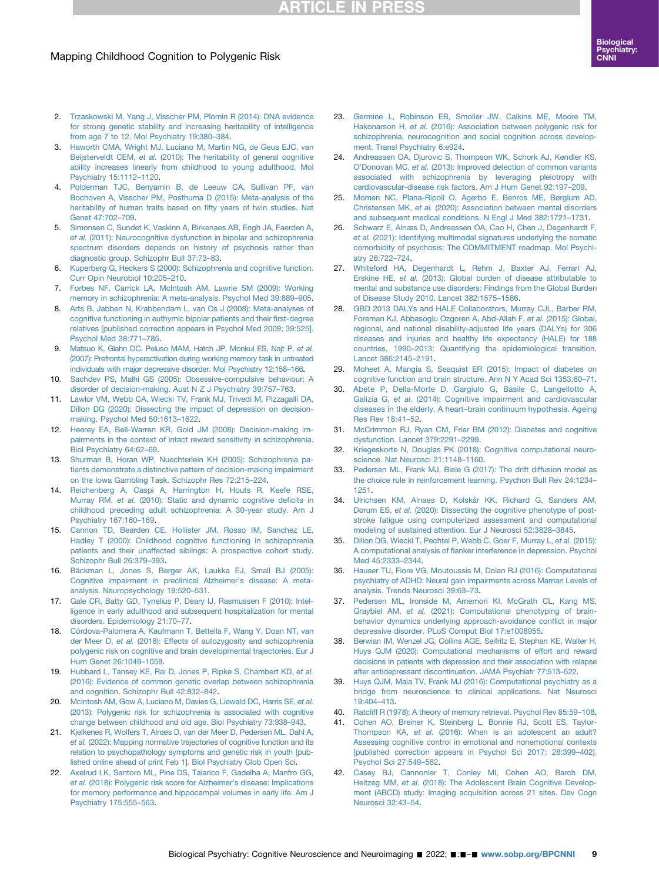# **RTICLE IN PRESS**

## Mapping Childhood Cognition to Polygenic Risk

- <span id="page-8-0"></span>2. [Trzaskowski M, Yang J, Visscher PM, Plomin R \(2014\): DNA evidence](http://refhub.elsevier.com/S2451-9022(22)00078-7/sref2) [for strong genetic stability and increasing heritability of intelligence](http://refhub.elsevier.com/S2451-9022(22)00078-7/sref2) [from age 7 to 12. Mol Psychiatry 19:380](http://refhub.elsevier.com/S2451-9022(22)00078-7/sref2)–384.
- 3. [Haworth CMA, Wright MJ, Luciano M, Martin NG, de Geus EJC, van](http://refhub.elsevier.com/S2451-9022(22)00078-7/sref3) Beijsterveldt CEM, et al. [\(2010\): The heritability of general cognitive](http://refhub.elsevier.com/S2451-9022(22)00078-7/sref3) [ability increases linearly from childhood to young adulthood. Mol](http://refhub.elsevier.com/S2451-9022(22)00078-7/sref3) [Psychiatry 15:1112](http://refhub.elsevier.com/S2451-9022(22)00078-7/sref3)–1120.
- 4. [Polderman TJC, Benyamin B, de Leeuw CA, Sullivan PF, van](http://refhub.elsevier.com/S2451-9022(22)00078-7/sref4) [Bochoven A, Visscher PM, Posthuma D \(2015\): Meta-analysis of the](http://refhub.elsevier.com/S2451-9022(22)00078-7/sref4) [heritability of human traits based on](http://refhub.elsevier.com/S2451-9022(22)00078-7/sref4) fifty years of twin studies. Nat [Genet 47:702](http://refhub.elsevier.com/S2451-9022(22)00078-7/sref4)–709.
- <span id="page-8-1"></span>5. [Simonsen C, Sundet K, Vaskinn A, Birkenaes AB, Engh JA, Faerden A,](http://refhub.elsevier.com/S2451-9022(22)00078-7/sref5) et al. [\(2011\): Neurocognitive dysfunction in bipolar and schizophrenia](http://refhub.elsevier.com/S2451-9022(22)00078-7/sref5) [spectrum disorders depends on history of psychosis rather than](http://refhub.elsevier.com/S2451-9022(22)00078-7/sref5) [diagnostic group. Schizophr Bull 37:73](http://refhub.elsevier.com/S2451-9022(22)00078-7/sref5)–83.
- <span id="page-8-2"></span>6. [Kuperberg G, Heckers S \(2000\): Schizophrenia and cognitive function.](http://refhub.elsevier.com/S2451-9022(22)00078-7/sref6) [Curr Opin Neurobiol 10:205](http://refhub.elsevier.com/S2451-9022(22)00078-7/sref6)–210.
- <span id="page-8-3"></span>7. [Forbes NF, Carrick LA, McIntosh AM, Lawrie SM \(2009\): Working](http://refhub.elsevier.com/S2451-9022(22)00078-7/sref7) [memory in schizophrenia: A meta-analysis. Psychol Med 39:889](http://refhub.elsevier.com/S2451-9022(22)00078-7/sref7)–905.
- <span id="page-8-4"></span>8. [Arts B, Jabben N, Krabbendam L, van Os J \(2008\): Meta-analyses of](http://refhub.elsevier.com/S2451-9022(22)00078-7/sref8) [cognitive functioning in euthymic bipolar patients and their](http://refhub.elsevier.com/S2451-9022(22)00078-7/sref8) first-degree [relatives \[published correction appears in Psychol Med 2009; 39:525\].](http://refhub.elsevier.com/S2451-9022(22)00078-7/sref8) [Psychol Med 38:771](http://refhub.elsevier.com/S2451-9022(22)00078-7/sref8)–785.
- <span id="page-8-5"></span>9. [Matsuo K, Glahn DC, Peluso MAM, Hatch JP, Monkul ES, Najt P,](http://refhub.elsevier.com/S2451-9022(22)00078-7/sref9) et al. [\(2007\): Prefrontal hyperactivation during working memory task in untreated](http://refhub.elsevier.com/S2451-9022(22)00078-7/sref9) [individuals with major depressive disorder. Mol Psychiatry 12:158](http://refhub.elsevier.com/S2451-9022(22)00078-7/sref9)–166.
- <span id="page-8-6"></span>10. [Sachdev PS, Malhi GS \(2005\): Obsessive-compulsive behaviour: A](http://refhub.elsevier.com/S2451-9022(22)00078-7/sref10) [disorder of decision-making. Aust N Z J Psychiatry 39:757](http://refhub.elsevier.com/S2451-9022(22)00078-7/sref10)–763.
- <span id="page-8-7"></span>11. [Lawlor VM, Webb CA, Wiecki TV, Frank MJ, Trivedi M, Pizzagalli DA,](http://refhub.elsevier.com/S2451-9022(22)00078-7/sref11) [Dillon DG \(2020\): Dissecting the impact of depression on decision](http://refhub.elsevier.com/S2451-9022(22)00078-7/sref11)[making. Psychol Med 50:1613](http://refhub.elsevier.com/S2451-9022(22)00078-7/sref11)–1622.
- <span id="page-8-8"></span>12. [Heerey EA, Bell-Warren KR, Gold JM \(2008\): Decision-making im](http://refhub.elsevier.com/S2451-9022(22)00078-7/sref12)[pairments in the context of intact reward sensitivity in schizophrenia.](http://refhub.elsevier.com/S2451-9022(22)00078-7/sref12) [Biol Psychiatry 64:62](http://refhub.elsevier.com/S2451-9022(22)00078-7/sref12)–69.
- <span id="page-8-9"></span>13. [Shurman B, Horan WP, Nuechterlein KH \(2005\): Schizophrenia pa](http://refhub.elsevier.com/S2451-9022(22)00078-7/sref13)[tients demonstrate a distinctive pattern of decision-making impairment](http://refhub.elsevier.com/S2451-9022(22)00078-7/sref13) [on the Iowa Gambling Task. Schizophr Res 72:215](http://refhub.elsevier.com/S2451-9022(22)00078-7/sref13)–224.
- <span id="page-8-10"></span>14. [Reichenberg A, Caspi A, Harrington H, Houts R, Keefe RSE,](http://refhub.elsevier.com/S2451-9022(22)00078-7/sref14) Murray RM, et al. [\(2010\): Static and dynamic cognitive de](http://refhub.elsevier.com/S2451-9022(22)00078-7/sref14)ficits in [childhood preceding adult schizophrenia: A 30-year study. Am J](http://refhub.elsevier.com/S2451-9022(22)00078-7/sref14) [Psychiatry 167:160](http://refhub.elsevier.com/S2451-9022(22)00078-7/sref14)–169.
- 15. [Cannon TD, Bearden CE, Hollister JM, Rosso IM, Sanchez LE,](http://refhub.elsevier.com/S2451-9022(22)00078-7/sref15) [Hadley T \(2000\): Childhood cognitive functioning in schizophrenia](http://refhub.elsevier.com/S2451-9022(22)00078-7/sref15) [patients and their unaffected siblings: A prospective cohort study.](http://refhub.elsevier.com/S2451-9022(22)00078-7/sref15) [Schizophr Bull 26:379](http://refhub.elsevier.com/S2451-9022(22)00078-7/sref15)–393.
- <span id="page-8-31"></span>16. [Bäckman L, Jones S, Berger AK, Laukka EJ, Small BJ \(2005\):](http://refhub.elsevier.com/S2451-9022(22)00078-7/sref16) [Cognitive impairment in preclinical Alzheimer](http://refhub.elsevier.com/S2451-9022(22)00078-7/sref16)'s disease: A meta[analysis. Neuropsychology 19:520](http://refhub.elsevier.com/S2451-9022(22)00078-7/sref16)–531.
- 17. [Gale CR, Batty GD, Tynelius P, Deary IJ, Rasmussen F \(2010\): Intel](http://refhub.elsevier.com/S2451-9022(22)00078-7/sref17)[ligence in early adulthood and subsequent hospitalization for mental](http://refhub.elsevier.com/S2451-9022(22)00078-7/sref17) [disorders. Epidemiology 21:70](http://refhub.elsevier.com/S2451-9022(22)00078-7/sref17)–77.
- <span id="page-8-11"></span>18. [Córdova-Palomera A, Kaufmann T, Bettella F, Wang Y, Doan NT, van](http://refhub.elsevier.com/S2451-9022(22)00078-7/sref18) der Meer D, et al. [\(2018\): Effects of autozygosity and schizophrenia](http://refhub.elsevier.com/S2451-9022(22)00078-7/sref18) [polygenic risk on cognitive and brain developmental trajectories. Eur J](http://refhub.elsevier.com/S2451-9022(22)00078-7/sref18) [Hum Genet 26:1049](http://refhub.elsevier.com/S2451-9022(22)00078-7/sref18)–1059.
- <span id="page-8-12"></span>19. [Hubbard L, Tansey KE, Rai D, Jones P, Ripke S, Chambert KD,](http://refhub.elsevier.com/S2451-9022(22)00078-7/sref19) et al. [\(2016\): Evidence of common genetic overlap between schizophrenia](http://refhub.elsevier.com/S2451-9022(22)00078-7/sref19) [and cognition. Schizophr Bull 42:832](http://refhub.elsevier.com/S2451-9022(22)00078-7/sref19)–842.
- <span id="page-8-13"></span>20. [McIntosh AM, Gow A, Luciano M, Davies G, Liewald DC, Harris SE,](http://refhub.elsevier.com/S2451-9022(22)00078-7/sref20) et al. [\(2013\): Polygenic risk for schizophrenia is associated with cognitive](http://refhub.elsevier.com/S2451-9022(22)00078-7/sref20) [change between childhood and old age. Biol Psychiatry 73:938](http://refhub.elsevier.com/S2451-9022(22)00078-7/sref20)–943.
- <span id="page-8-14"></span>21. [Kjelkenes R, Wolfers T, Alnæs D, van der Meer D, Pedersen ML, Dahl A,](http://refhub.elsevier.com/S2451-9022(22)00078-7/sref21) et al. [\(2022\): Mapping normative trajectories of cognitive function and its](http://refhub.elsevier.com/S2451-9022(22)00078-7/sref21) [relation to psychopathology symptoms and genetic risk in youth \[pub](http://refhub.elsevier.com/S2451-9022(22)00078-7/sref21)[lished online ahead of print Feb 1\]. Biol Psychiatry Glob Open Sci](http://refhub.elsevier.com/S2451-9022(22)00078-7/sref21).
- <span id="page-8-15"></span>22. [Axelrud LK, Santoro ML, Pine DS, Talarico F, Gadelha A, Manfro GG,](http://refhub.elsevier.com/S2451-9022(22)00078-7/sref22) et al. [\(2018\): Polygenic risk score for Alzheimer](http://refhub.elsevier.com/S2451-9022(22)00078-7/sref22)'s disease: Implications [for memory performance and hippocampal volumes in early life. Am J](http://refhub.elsevier.com/S2451-9022(22)00078-7/sref22) [Psychiatry 175:555](http://refhub.elsevier.com/S2451-9022(22)00078-7/sref22)–563.
- <span id="page-8-16"></span>23. [Germine L, Robinson EB, Smoller JW, Calkins ME, Moore TM,](http://refhub.elsevier.com/S2451-9022(22)00078-7/sref23) Hakonarson H, et al. [\(2016\): Association between polygenic risk for](http://refhub.elsevier.com/S2451-9022(22)00078-7/sref23) [schizophrenia, neurocognition and social cognition across develop](http://refhub.elsevier.com/S2451-9022(22)00078-7/sref23)[ment. Transl Psychiatry 6:e924.](http://refhub.elsevier.com/S2451-9022(22)00078-7/sref23)
- <span id="page-8-17"></span>24. [Andreassen OA, Djurovic S, Thompson WK, Schork AJ, Kendler KS,](http://refhub.elsevier.com/S2451-9022(22)00078-7/sref24) O'Donovan MC, et al. [\(2013\): Improved detection of common variants](http://refhub.elsevier.com/S2451-9022(22)00078-7/sref24) [associated with schizophrenia by leveraging pleiotropy with](http://refhub.elsevier.com/S2451-9022(22)00078-7/sref24) [cardiovascular-disease risk factors. Am J Hum Genet 92:197](http://refhub.elsevier.com/S2451-9022(22)00078-7/sref24)–209.
- <span id="page-8-18"></span>25. [Momen NC, Plana-Ripoll O, Agerbo E, Benros ME, Børglum AD,](http://refhub.elsevier.com/S2451-9022(22)00078-7/sref25) Christensen MK, et al. [\(2020\): Association between mental disorders](http://refhub.elsevier.com/S2451-9022(22)00078-7/sref25) [and subsequent medical conditions. N Engl J Med 382:1721](http://refhub.elsevier.com/S2451-9022(22)00078-7/sref25)–1731.
- <span id="page-8-19"></span>26. [Schwarz E, Alnæs D, Andreassen OA, Cao H, Chen J, Degenhardt F,](http://refhub.elsevier.com/S2451-9022(22)00078-7/sref26) et al. [\(2021\): Identifying multimodal signatures underlying the somatic](http://refhub.elsevier.com/S2451-9022(22)00078-7/sref26) [comorbidity of psychosis: The COMMITMENT roadmap. Mol Psychi](http://refhub.elsevier.com/S2451-9022(22)00078-7/sref26)[atry 26:722](http://refhub.elsevier.com/S2451-9022(22)00078-7/sref26)–724.
- <span id="page-8-20"></span>27. [Whiteford HA, Degenhardt L, Rehm J, Baxter AJ, Ferrari AJ,](http://refhub.elsevier.com/S2451-9022(22)00078-7/sref27) Erskine HE, et al. [\(2013\): Global burden of disease attributable to](http://refhub.elsevier.com/S2451-9022(22)00078-7/sref27) [mental and substance use disorders: Findings from the Global Burden](http://refhub.elsevier.com/S2451-9022(22)00078-7/sref27) [of Disease Study 2010. Lancet 382:1575](http://refhub.elsevier.com/S2451-9022(22)00078-7/sref27)–1586.
- <span id="page-8-21"></span>28. [GBD 2013 DALYs and HALE Collaborators, Murray CJL, Barber RM,](http://refhub.elsevier.com/S2451-9022(22)00078-7/sref28) [Foreman KJ, Abbasoglu Ozgoren A, Abd-Allah F,](http://refhub.elsevier.com/S2451-9022(22)00078-7/sref28) et al. (2015): Global, [regional, and national disability-adjusted life years \(DALYs\) for 306](http://refhub.elsevier.com/S2451-9022(22)00078-7/sref28) [diseases and injuries and healthy life expectancy \(HALE\) for 188](http://refhub.elsevier.com/S2451-9022(22)00078-7/sref28) countries, 1990–[2013: Quantifying the epidemiological transition.](http://refhub.elsevier.com/S2451-9022(22)00078-7/sref28) [Lancet 386:2145](http://refhub.elsevier.com/S2451-9022(22)00078-7/sref28)–2191.
- <span id="page-8-22"></span>29. [Moheet A, Mangia S, Seaquist ER \(2015\): Impact of diabetes on](http://refhub.elsevier.com/S2451-9022(22)00078-7/sref29) [cognitive function and brain structure. Ann N Y Acad Sci 1353:60](http://refhub.elsevier.com/S2451-9022(22)00078-7/sref29)–71.
- 30. [Abete P, Della-Morte D, Gargiulo G, Basile C, Langellotto A,](http://refhub.elsevier.com/S2451-9022(22)00078-7/sref30) Galizia G, et al. [\(2014\): Cognitive impairment and cardiovascular](http://refhub.elsevier.com/S2451-9022(22)00078-7/sref30) diseases in the elderly. A heart–[brain continuum hypothesis. Ageing](http://refhub.elsevier.com/S2451-9022(22)00078-7/sref30) [Res Rev 18:41](http://refhub.elsevier.com/S2451-9022(22)00078-7/sref30)–52.
- 31. [McCrimmon RJ, Ryan CM, Frier BM \(2012\): Diabetes and cognitive](http://refhub.elsevier.com/S2451-9022(22)00078-7/sref31) [dysfunction. Lancet 379:2291](http://refhub.elsevier.com/S2451-9022(22)00078-7/sref31)–2299.
- <span id="page-8-23"></span>[Kriegeskorte N, Douglas PK \(2018\): Cognitive computational neuro](http://refhub.elsevier.com/S2451-9022(22)00078-7/sref32)[science. Nat Neurosci 21:1148](http://refhub.elsevier.com/S2451-9022(22)00078-7/sref32)–1160.
- <span id="page-8-24"></span>33. [Pedersen ML, Frank MJ, Biele G \(2017\): The drift diffusion model as](http://refhub.elsevier.com/S2451-9022(22)00078-7/sref33) [the choice rule in reinforcement learning. Psychon Bull Rev 24:1234](http://refhub.elsevier.com/S2451-9022(22)00078-7/sref33)– [1251](http://refhub.elsevier.com/S2451-9022(22)00078-7/sref33).
- 34. [Ulrichsen KM, Alnaes D, Kolskår KK, Richard G, Sanders AM,](http://refhub.elsevier.com/S2451-9022(22)00078-7/sref34) Dørum ES, et al. [\(2020\): Dissecting the cognitive phenotype of post](http://refhub.elsevier.com/S2451-9022(22)00078-7/sref34)[stroke fatigue using computerized assessment and computational](http://refhub.elsevier.com/S2451-9022(22)00078-7/sref34) [modeling of sustained attention. Eur J Neurosci 52:3828](http://refhub.elsevier.com/S2451-9022(22)00078-7/sref34)–3845.
- 35. [Dillon DG, Wiecki T, Pechtel P, Webb C, Goer F, Murray L,](http://refhub.elsevier.com/S2451-9022(22)00078-7/sref35) et al. (2015): A computational analysis of fl[anker interference in depression. Psychol](http://refhub.elsevier.com/S2451-9022(22)00078-7/sref35) [Med 45:2333](http://refhub.elsevier.com/S2451-9022(22)00078-7/sref35)–2344.
- 36. [Hauser TU, Fiore VG, Moutoussis M, Dolan RJ \(2016\): Computational](http://refhub.elsevier.com/S2451-9022(22)00078-7/sref36) [psychiatry of ADHD: Neural gain impairments across Marrian Levels of](http://refhub.elsevier.com/S2451-9022(22)00078-7/sref36) [analysis. Trends Neurosci 39:63](http://refhub.elsevier.com/S2451-9022(22)00078-7/sref36)–73.
- <span id="page-8-25"></span>37. [Pedersen ML, Ironside M, Amemori KI, McGrath CL, Kang MS,](http://refhub.elsevier.com/S2451-9022(22)00078-7/sref37) Graybiel AM, et al. [\(2021\): Computational phenotyping of brain](http://refhub.elsevier.com/S2451-9022(22)00078-7/sref37)[behavior dynamics underlying approach-avoidance con](http://refhub.elsevier.com/S2451-9022(22)00078-7/sref37)flict in major [depressive disorder. PLoS Comput Biol 17:e1008955](http://refhub.elsevier.com/S2451-9022(22)00078-7/sref37).
- <span id="page-8-26"></span>38. [Berwian IM, Wenzel JG, Collins AGE, Seifritz E, Stephan KE, Walter H,](http://refhub.elsevier.com/S2451-9022(22)00078-7/sref38) [Huys QJM \(2020\): Computational mechanisms of effort and reward](http://refhub.elsevier.com/S2451-9022(22)00078-7/sref38) [decisions in patients with depression and their association with relapse](http://refhub.elsevier.com/S2451-9022(22)00078-7/sref38) [after antidepressant discontinuation. JAMA Psychiatr 77:513](http://refhub.elsevier.com/S2451-9022(22)00078-7/sref38)–522.
- <span id="page-8-27"></span>39. [Huys QJM, Maia TV, Frank MJ \(2016\): Computational psychiatry as a](http://refhub.elsevier.com/S2451-9022(22)00078-7/sref39) [bridge from neuroscience to clinical applications. Nat Neurosci](http://refhub.elsevier.com/S2451-9022(22)00078-7/sref39) [19:404](http://refhub.elsevier.com/S2451-9022(22)00078-7/sref39)–413.
- <span id="page-8-28"></span>40. [Ratcliff R \(1978\): A theory of memory retrieval. Psychol Rev 85:59](http://refhub.elsevier.com/S2451-9022(22)00078-7/sref40)–108.
- <span id="page-8-29"></span>41. [Cohen AO, Breiner K, Steinberg L, Bonnie RJ, Scott ES, Taylor-](http://refhub.elsevier.com/S2451-9022(22)00078-7/sref41)Thompson KA, et al. [\(2016\): When is an adolescent an adult?](http://refhub.elsevier.com/S2451-9022(22)00078-7/sref41) [Assessing cognitive control in emotional and nonemotional contexts](http://refhub.elsevier.com/S2451-9022(22)00078-7/sref41) [\[published correction appears in Psychol Sci 2017; 28:399](http://refhub.elsevier.com/S2451-9022(22)00078-7/sref41)–402]. [Psychol Sci 27:549](http://refhub.elsevier.com/S2451-9022(22)00078-7/sref41)–562.
- <span id="page-8-30"></span>42. [Casey BJ, Cannonier T, Conley MI, Cohen AO, Barch DM,](http://refhub.elsevier.com/S2451-9022(22)00078-7/sref42) Heitzeg MM, et al. [\(2018\): The Adolescent Brain Cognitive Develop](http://refhub.elsevier.com/S2451-9022(22)00078-7/sref42)[ment \(ABCD\) study: Imaging acquisition across 21 sites. Dev Cogn](http://refhub.elsevier.com/S2451-9022(22)00078-7/sref42) [Neurosci 32:43](http://refhub.elsevier.com/S2451-9022(22)00078-7/sref42)–54.